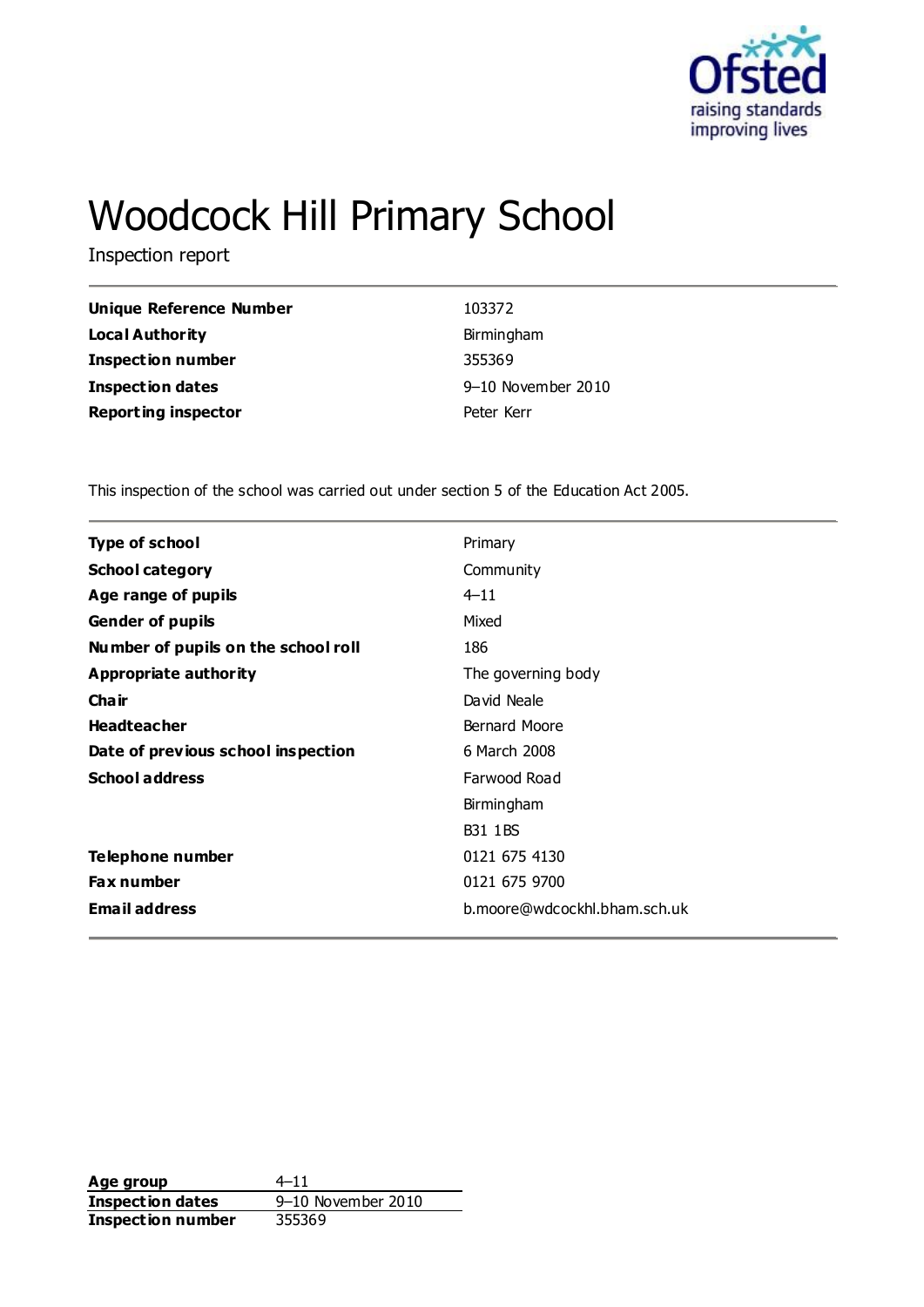

# Woodcock Hill Primary School

Inspection report

| Unique Reference Number    | 103372     |
|----------------------------|------------|
| <b>Local Authority</b>     | Birmingham |
| <b>Inspection number</b>   | 355369     |
| Inspection dates           | 9-10 Noven |
| <b>Reporting inspector</b> | Peter Kerr |
|                            |            |

**Iovember 2010** 

This inspection of the school was carried out under section 5 of the Education Act 2005.

| <b>Type of school</b>               | Primary                      |
|-------------------------------------|------------------------------|
| <b>School category</b>              | Community                    |
| Age range of pupils                 | $4 - 11$                     |
| <b>Gender of pupils</b>             | Mixed                        |
| Number of pupils on the school roll | 186                          |
| Appropriate authority               | The governing body           |
| Cha ir                              | David Neale                  |
| <b>Headteacher</b>                  | Bernard Moore                |
| Date of previous school inspection  | 6 March 2008                 |
| <b>School address</b>               | Farwood Road                 |
|                                     | Birmingham                   |
|                                     | <b>B31 1BS</b>               |
| Telephone number                    | 0121 675 4130                |
| Fax number                          | 0121 675 9700                |
| <b>Email address</b>                | b.moore@wdcockhl.bham.sch.uk |
|                                     |                              |

Age group  $4-11$ **Inspection dates** 9–10 November 2010 **Inspection number** 355369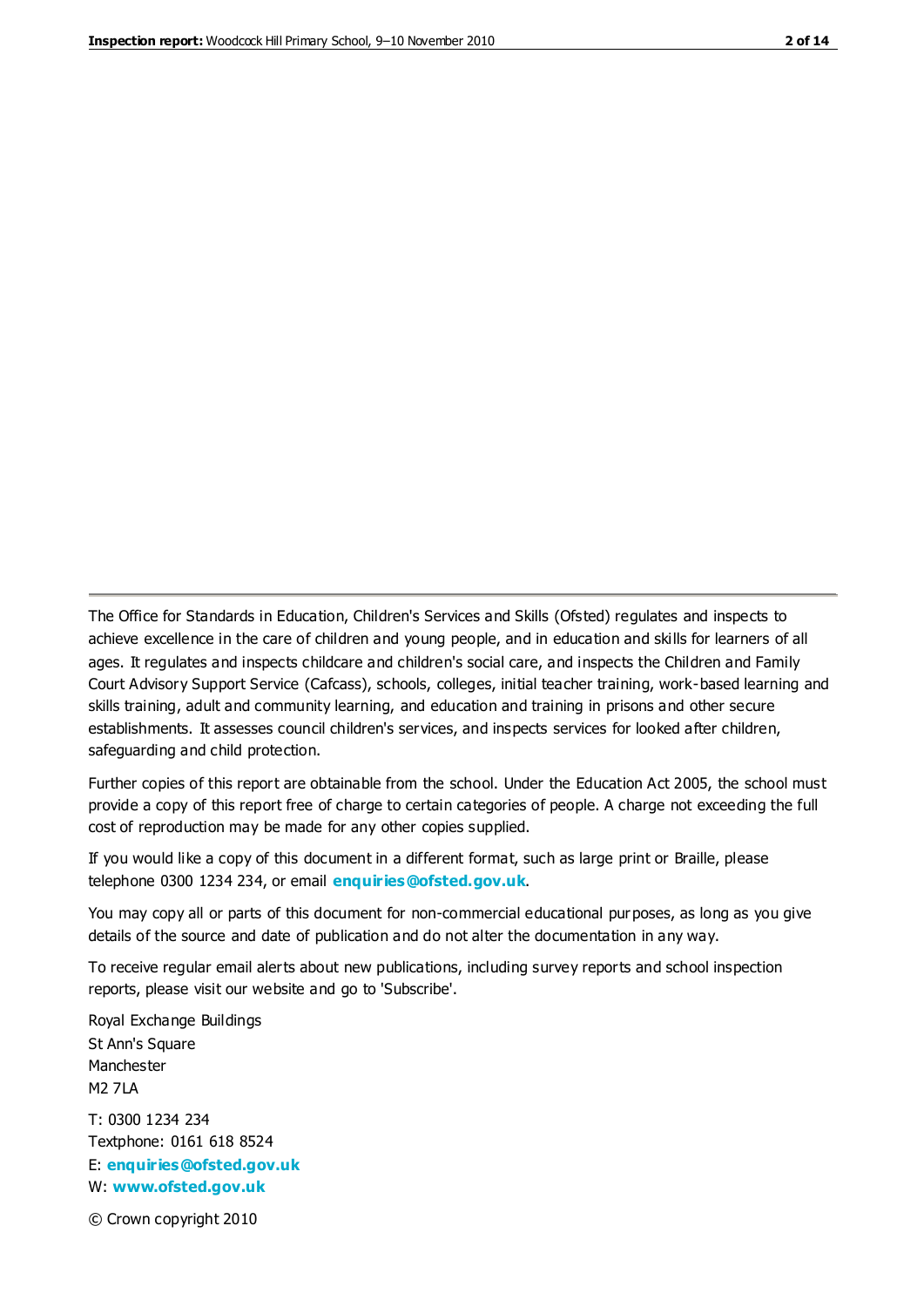The Office for Standards in Education, Children's Services and Skills (Ofsted) regulates and inspects to achieve excellence in the care of children and young people, and in education and skills for learners of all ages. It regulates and inspects childcare and children's social care, and inspects the Children and Family Court Advisory Support Service (Cafcass), schools, colleges, initial teacher training, work-based learning and skills training, adult and community learning, and education and training in prisons and other secure establishments. It assesses council children's services, and inspects services for looked after children, safeguarding and child protection.

Further copies of this report are obtainable from the school. Under the Education Act 2005, the school must provide a copy of this report free of charge to certain categories of people. A charge not exceeding the full cost of reproduction may be made for any other copies supplied.

If you would like a copy of this document in a different format, such as large print or Braille, please telephone 0300 1234 234, or email **[enquiries@ofsted.gov.uk](mailto:enquiries@ofsted.gov.uk)**.

You may copy all or parts of this document for non-commercial educational purposes, as long as you give details of the source and date of publication and do not alter the documentation in any way.

To receive regular email alerts about new publications, including survey reports and school inspection reports, please visit our website and go to 'Subscribe'.

Royal Exchange Buildings St Ann's Square Manchester M2 7LA T: 0300 1234 234 Textphone: 0161 618 8524 E: **[enquiries@ofsted.gov.uk](mailto:enquiries@ofsted.gov.uk)**

W: **[www.ofsted.gov.uk](http://www.ofsted.gov.uk/)**

© Crown copyright 2010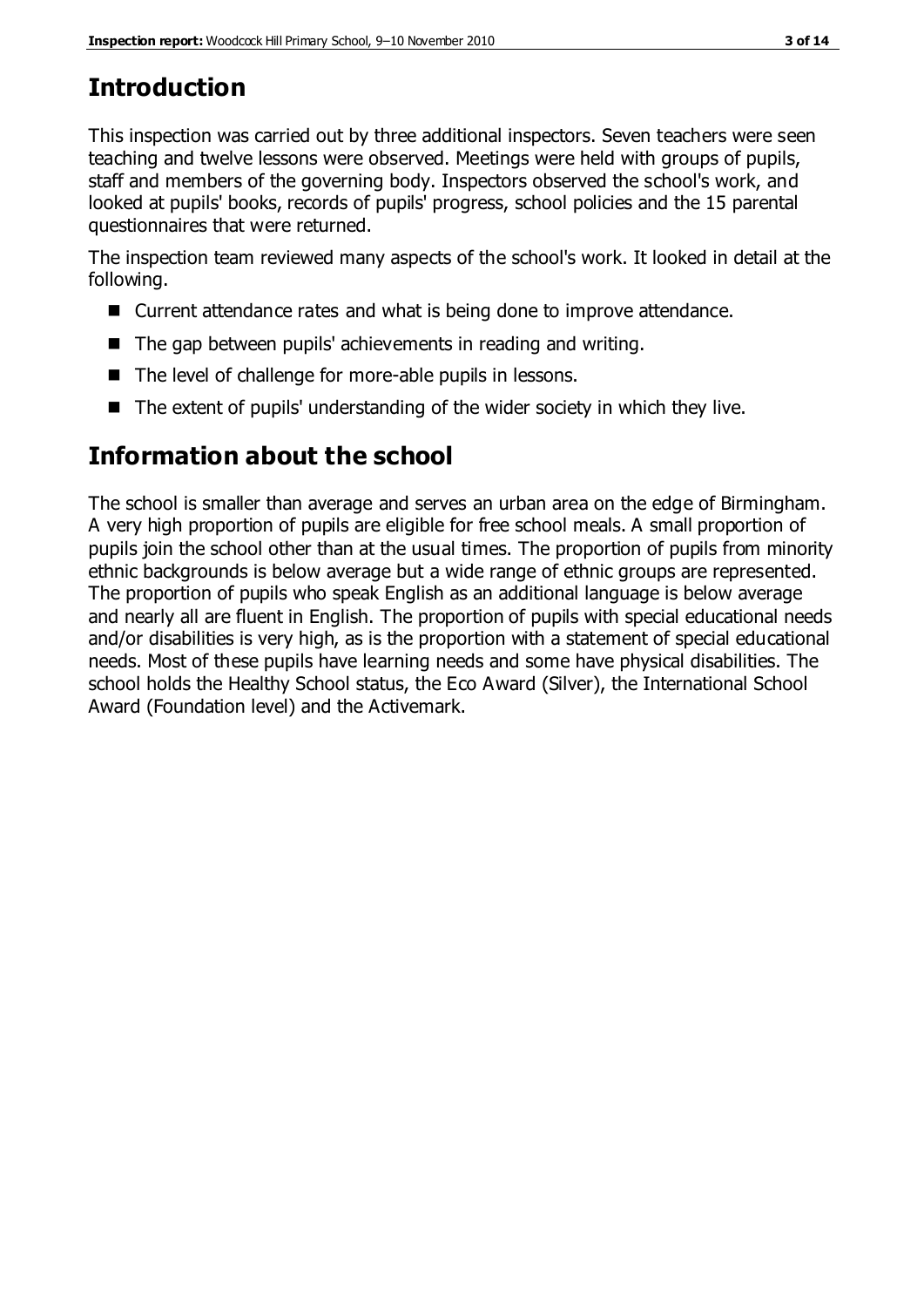# **Introduction**

This inspection was carried out by three additional inspectors. Seven teachers were seen teaching and twelve lessons were observed. Meetings were held with groups of pupils, staff and members of the governing body. Inspectors observed the school's work, and looked at pupils' books, records of pupils' progress, school policies and the 15 parental questionnaires that were returned.

The inspection team reviewed many aspects of the school's work. It looked in detail at the following.

- Current attendance rates and what is being done to improve attendance.
- The gap between pupils' achievements in reading and writing.
- The level of challenge for more-able pupils in lessons.
- The extent of pupils' understanding of the wider society in which they live.

# **Information about the school**

The school is smaller than average and serves an urban area on the edge of Birmingham. A very high proportion of pupils are eligible for free school meals. A small proportion of pupils join the school other than at the usual times. The proportion of pupils from minority ethnic backgrounds is below average but a wide range of ethnic groups are represented. The proportion of pupils who speak English as an additional language is below average and nearly all are fluent in English. The proportion of pupils with special educational needs and/or disabilities is very high, as is the proportion with a statement of special educational needs. Most of these pupils have learning needs and some have physical disabilities. The school holds the Healthy School status, the Eco Award (Silver), the International School Award (Foundation level) and the Activemark.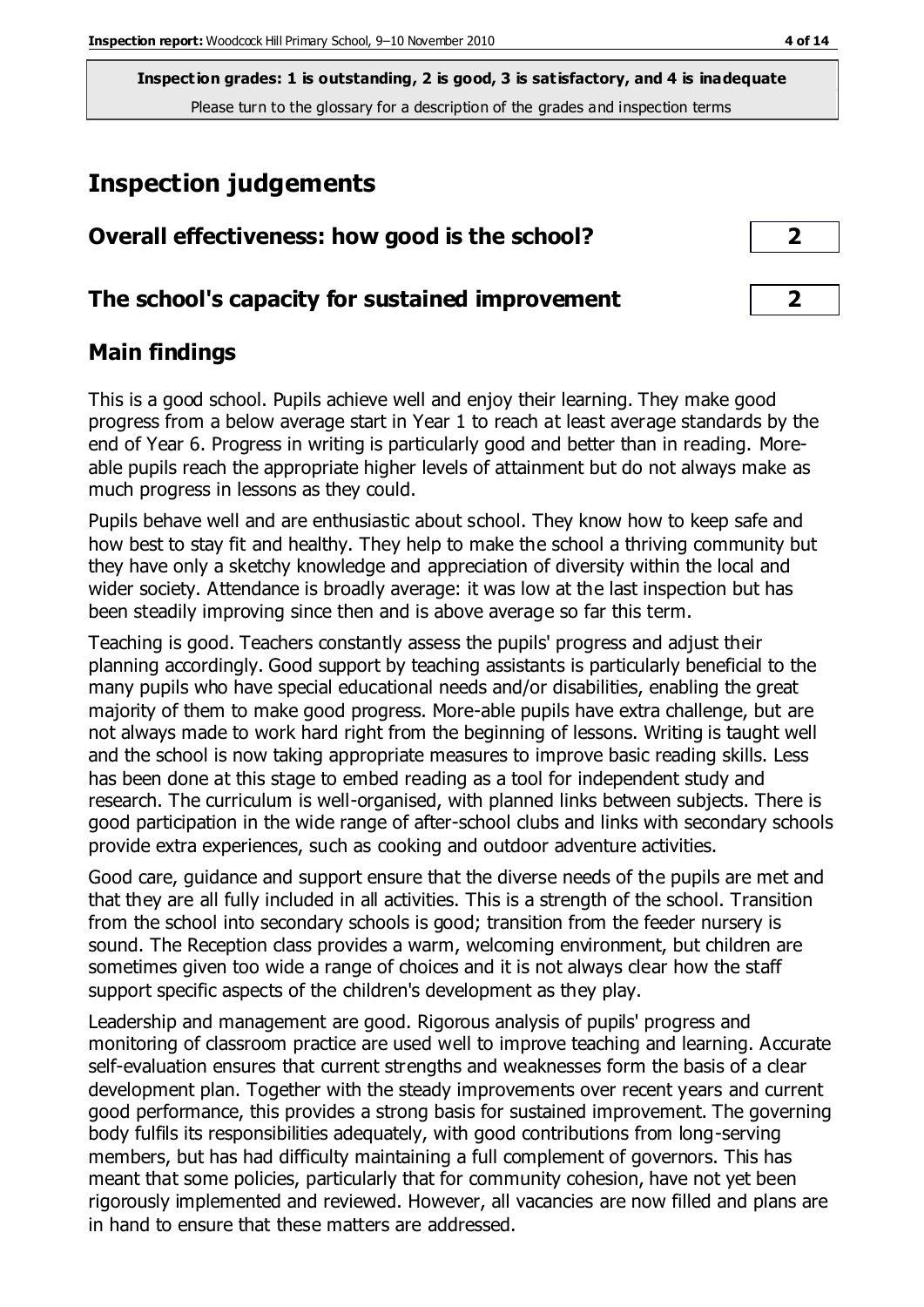**Inspection grades: 1 is outstanding, 2 is good, 3 is satisfactory, and 4 is inadequate** Please turn to the glossary for a description of the grades and inspection terms

# **Inspection judgements**

|  | Overall effectiveness: how good is the school? |  |  |  |  |  |
|--|------------------------------------------------|--|--|--|--|--|
|--|------------------------------------------------|--|--|--|--|--|

#### **The school's capacity for sustained improvement 2**

#### **Main findings**

This is a good school. Pupils achieve well and enjoy their learning. They make good progress from a below average start in Year 1 to reach at least average standards by the end of Year 6. Progress in writing is particularly good and better than in reading. Moreable pupils reach the appropriate higher levels of attainment but do not always make as much progress in lessons as they could.

Pupils behave well and are enthusiastic about school. They know how to keep safe and how best to stay fit and healthy. They help to make the school a thriving community but they have only a sketchy knowledge and appreciation of diversity within the local and wider society. Attendance is broadly average: it was low at the last inspection but has been steadily improving since then and is above average so far this term.

Teaching is good. Teachers constantly assess the pupils' progress and adjust their planning accordingly. Good support by teaching assistants is particularly beneficial to the many pupils who have special educational needs and/or disabilities, enabling the great majority of them to make good progress. More-able pupils have extra challenge, but are not always made to work hard right from the beginning of lessons. Writing is taught well and the school is now taking appropriate measures to improve basic reading skills. Less has been done at this stage to embed reading as a tool for independent study and research. The curriculum is well-organised, with planned links between subjects. There is good participation in the wide range of after-school clubs and links with secondary schools provide extra experiences, such as cooking and outdoor adventure activities.

Good care, guidance and support ensure that the diverse needs of the pupils are met and that they are all fully included in all activities. This is a strength of the school. Transition from the school into secondary schools is good; transition from the feeder nursery is sound. The Reception class provides a warm, welcoming environment, but children are sometimes given too wide a range of choices and it is not always clear how the staff support specific aspects of the children's development as they play.

Leadership and management are good. Rigorous analysis of pupils' progress and monitoring of classroom practice are used well to improve teaching and learning. Accurate self-evaluation ensures that current strengths and weaknesses form the basis of a clear development plan. Together with the steady improvements over recent years and current good performance, this provides a strong basis for sustained improvement. The governing body fulfils its responsibilities adequately, with good contributions from long-serving members, but has had difficulty maintaining a full complement of governors. This has meant that some policies, particularly that for community cohesion, have not yet been rigorously implemented and reviewed. However, all vacancies are now filled and plans are in hand to ensure that these matters are addressed.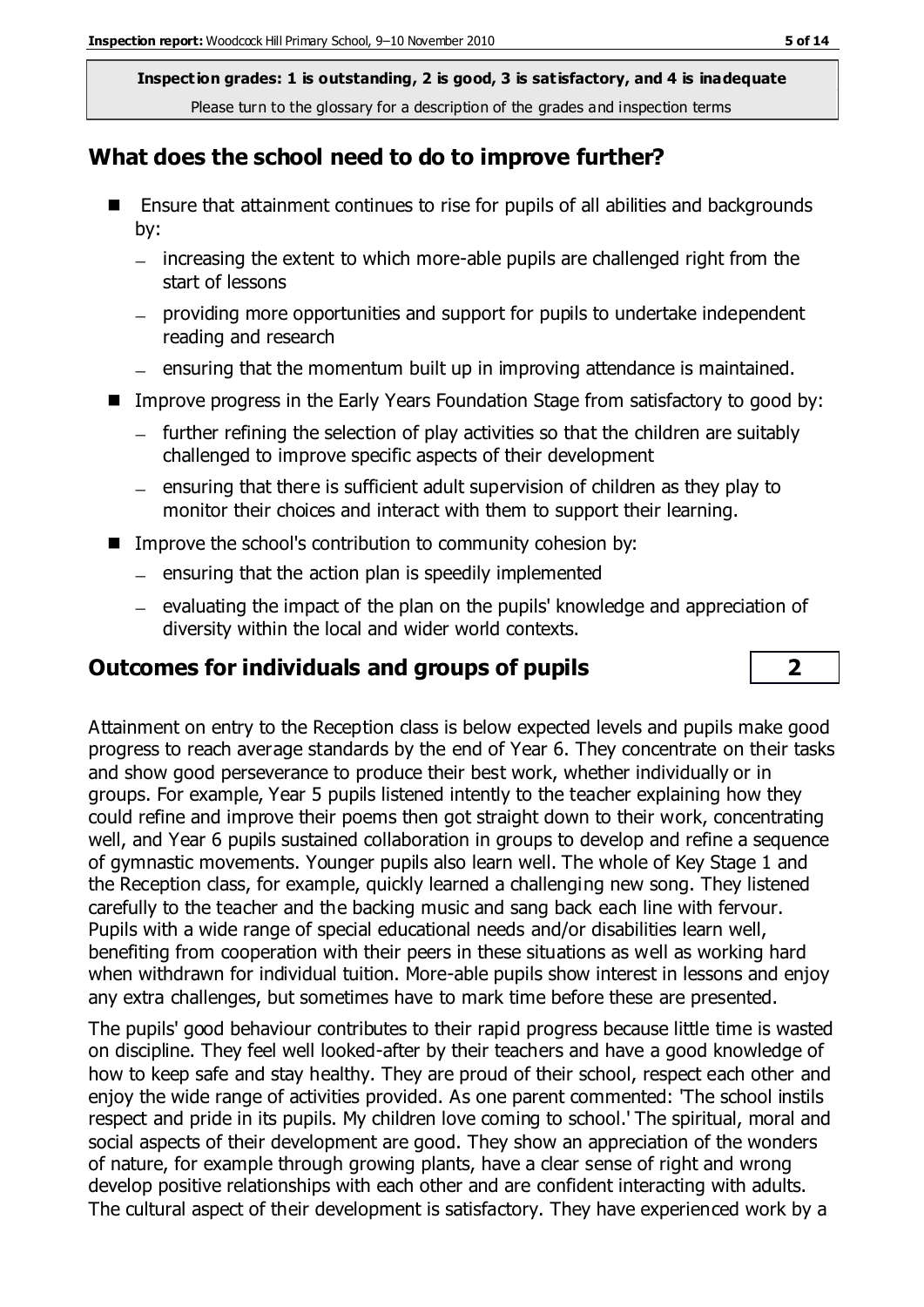**Inspection grades: 1 is outstanding, 2 is good, 3 is satisfactory, and 4 is inadequate** Please turn to the glossary for a description of the grades and inspection terms

#### **What does the school need to do to improve further?**

- Ensure that attainment continues to rise for pupils of all abilities and backgrounds by:
	- $-$  increasing the extent to which more-able pupils are challenged right from the start of lessons
	- providing more opportunities and support for pupils to undertake independent reading and research
	- $-$  ensuring that the momentum built up in improving attendance is maintained.
- Improve progress in the Early Years Foundation Stage from satisfactory to good by:
	- $-$  further refining the selection of play activities so that the children are suitably challenged to improve specific aspects of their development
	- $=$  ensuring that there is sufficient adult supervision of children as they play to monitor their choices and interact with them to support their learning.
- Improve the school's contribution to community cohesion by:
	- $-$  ensuring that the action plan is speedily implemented
	- $-$  evaluating the impact of the plan on the pupils' knowledge and appreciation of diversity within the local and wider world contexts.

#### **Outcomes for individuals and groups of pupils 2**

Attainment on entry to the Reception class is below expected levels and pupils make good progress to reach average standards by the end of Year 6. They concentrate on their tasks and show good perseverance to produce their best work, whether individually or in groups. For example, Year 5 pupils listened intently to the teacher explaining how they could refine and improve their poems then got straight down to their work, concentrating well, and Year 6 pupils sustained collaboration in groups to develop and refine a sequence of gymnastic movements. Younger pupils also learn well. The whole of Key Stage 1 and the Reception class, for example, quickly learned a challenging new song. They listened carefully to the teacher and the backing music and sang back each line with fervour. Pupils with a wide range of special educational needs and/or disabilities learn well, benefiting from cooperation with their peers in these situations as well as working hard when withdrawn for individual tuition. More-able pupils show interest in lessons and enjoy any extra challenges, but sometimes have to mark time before these are presented.

The pupils' good behaviour contributes to their rapid progress because little time is wasted on discipline. They feel well looked-after by their teachers and have a good knowledge of how to keep safe and stay healthy. They are proud of their school, respect each other and enjoy the wide range of activities provided. As one parent commented: 'The school instils respect and pride in its pupils. My children love coming to school.' The spiritual, moral and social aspects of their development are good. They show an appreciation of the wonders of nature, for example through growing plants, have a clear sense of right and wrong develop positive relationships with each other and are confident interacting with adults. The cultural aspect of their development is satisfactory. They have experienced work by a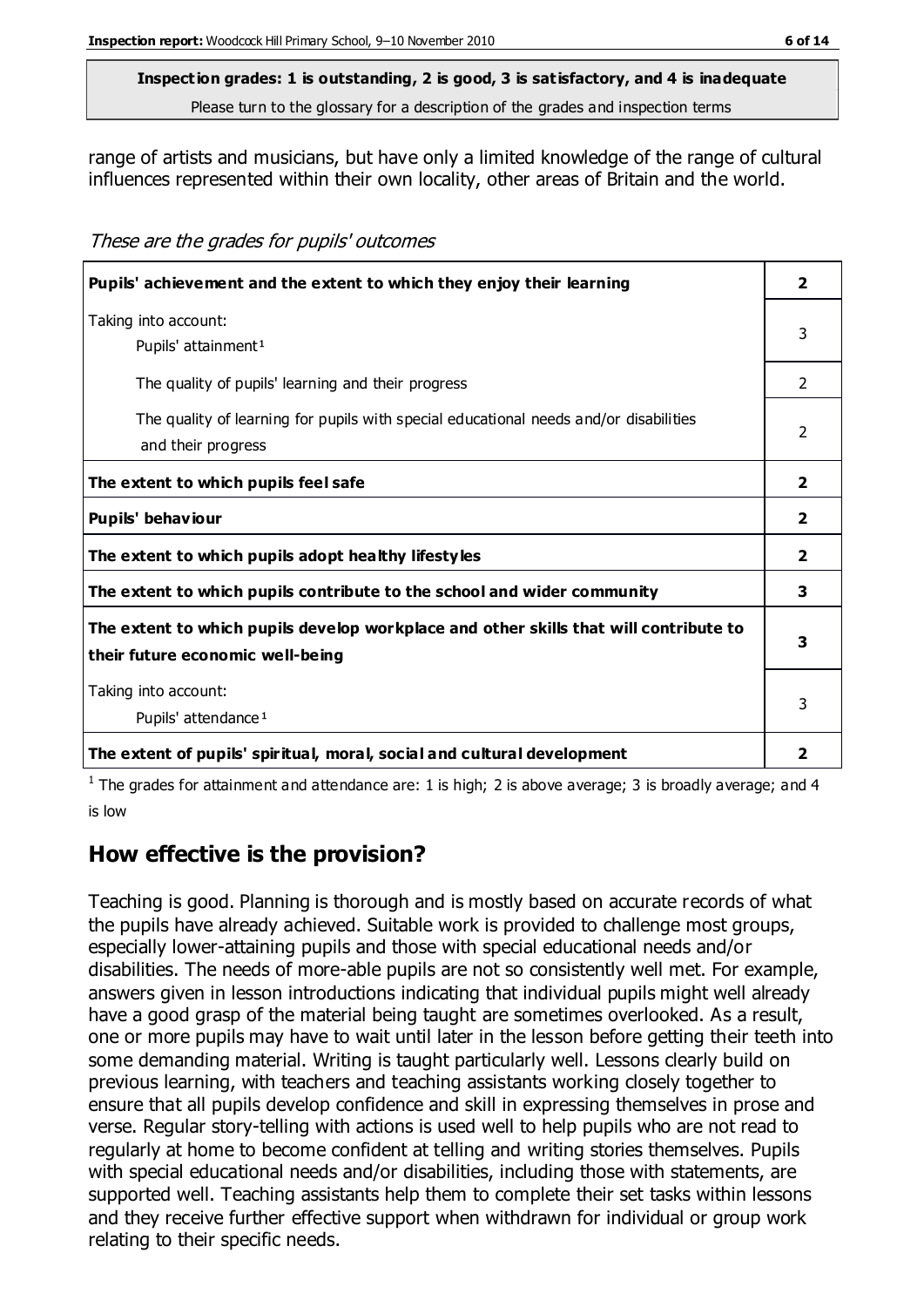### **Inspection grades: 1 is outstanding, 2 is good, 3 is satisfactory, and 4 is inadequate**

Please turn to the glossary for a description of the grades and inspection terms

range of artists and musicians, but have only a limited knowledge of the range of cultural influences represented within their own locality, other areas of Britain and the world.

These are the grades for pupils' outcomes

| Pupils' achievement and the extent to which they enjoy their learning                                                     | $\overline{2}$ |
|---------------------------------------------------------------------------------------------------------------------------|----------------|
| Taking into account:<br>Pupils' attainment <sup>1</sup>                                                                   | 3              |
| The quality of pupils' learning and their progress                                                                        | $\mathcal{P}$  |
| The quality of learning for pupils with special educational needs and/or disabilities<br>and their progress               | $\mathcal{P}$  |
| The extent to which pupils feel safe                                                                                      | $\overline{2}$ |
| Pupils' behaviour                                                                                                         | $\mathbf{2}$   |
| The extent to which pupils adopt healthy lifestyles                                                                       | $\overline{2}$ |
| The extent to which pupils contribute to the school and wider community                                                   | 3              |
| The extent to which pupils develop workplace and other skills that will contribute to<br>their future economic well-being | 3              |
| Taking into account:<br>Pupils' attendance <sup>1</sup>                                                                   | 3              |
| The extent of pupils' spiritual, moral, social and cultural development                                                   | 2              |

<sup>1</sup> The grades for attainment and attendance are: 1 is high; 2 is above average; 3 is broadly average; and 4 is low

### **How effective is the provision?**

Teaching is good. Planning is thorough and is mostly based on accurate records of what the pupils have already achieved. Suitable work is provided to challenge most groups, especially lower-attaining pupils and those with special educational needs and/or disabilities. The needs of more-able pupils are not so consistently well met. For example, answers given in lesson introductions indicating that individual pupils might well already have a good grasp of the material being taught are sometimes overlooked. As a result, one or more pupils may have to wait until later in the lesson before getting their teeth into some demanding material. Writing is taught particularly well. Lessons clearly build on previous learning, with teachers and teaching assistants working closely together to ensure that all pupils develop confidence and skill in expressing themselves in prose and verse. Regular story-telling with actions is used well to help pupils who are not read to regularly at home to become confident at telling and writing stories themselves. Pupils with special educational needs and/or disabilities, including those with statements, are supported well. Teaching assistants help them to complete their set tasks within lessons and they receive further effective support when withdrawn for individual or group work relating to their specific needs.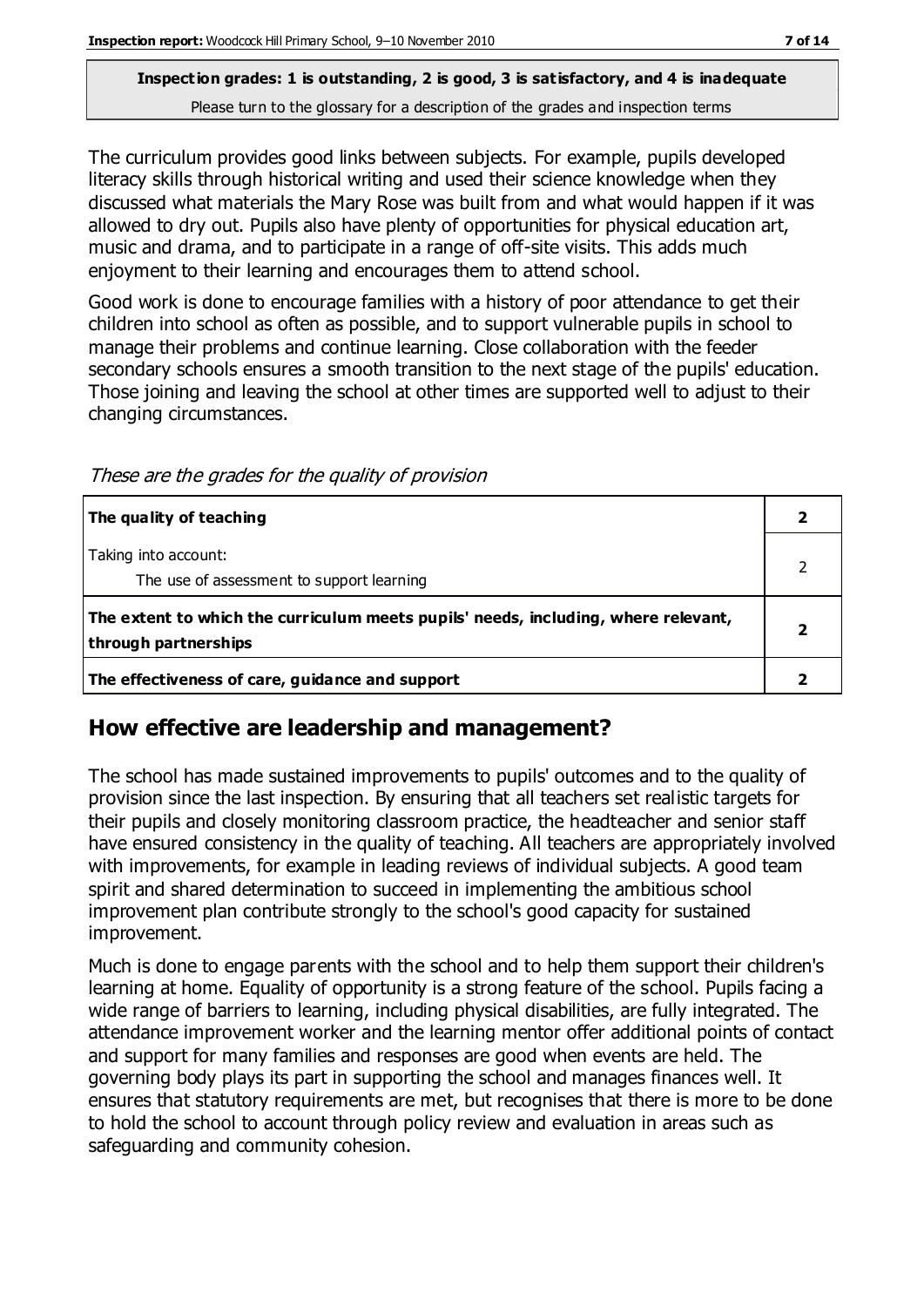#### **Inspection grades: 1 is outstanding, 2 is good, 3 is satisfactory, and 4 is inadequate** Please turn to the glossary for a description of the grades and inspection terms

The curriculum provides good links between subjects. For example, pupils developed literacy skills through historical writing and used their science knowledge when they discussed what materials the Mary Rose was built from and what would happen if it was allowed to dry out. Pupils also have plenty of opportunities for physical education art, music and drama, and to participate in a range of off-site visits. This adds much enjoyment to their learning and encourages them to attend school.

Good work is done to encourage families with a history of poor attendance to get their children into school as often as possible, and to support vulnerable pupils in school to manage their problems and continue learning. Close collaboration with the feeder secondary schools ensures a smooth transition to the next stage of the pupils' education. Those joining and leaving the school at other times are supported well to adjust to their changing circumstances.

**The quality of teaching 2** Taking into account: The use of assessment to support learning **The extent to which the curriculum meets pupils' needs, including, where relevant, through partnerships**

**The effectiveness of care, guidance and support 2**

These are the grades for the quality of provision

#### **How effective are leadership and management?**

The school has made sustained improvements to pupils' outcomes and to the quality of provision since the last inspection. By ensuring that all teachers set realistic targets for their pupils and closely monitoring classroom practice, the headteacher and senior staff have ensured consistency in the quality of teaching. All teachers are appropriately involved with improvements, for example in leading reviews of individual subjects. A good team spirit and shared determination to succeed in implementing the ambitious school improvement plan contribute strongly to the school's good capacity for sustained improvement.

Much is done to engage parents with the school and to help them support their children's learning at home. Equality of opportunity is a strong feature of the school. Pupils facing a wide range of barriers to learning, including physical disabilities, are fully integrated. The attendance improvement worker and the learning mentor offer additional points of contact and support for many families and responses are good when events are held. The governing body plays its part in supporting the school and manages finances well. It ensures that statutory requirements are met, but recognises that there is more to be done to hold the school to account through policy review and evaluation in areas such as safeguarding and community cohesion.

2

**2**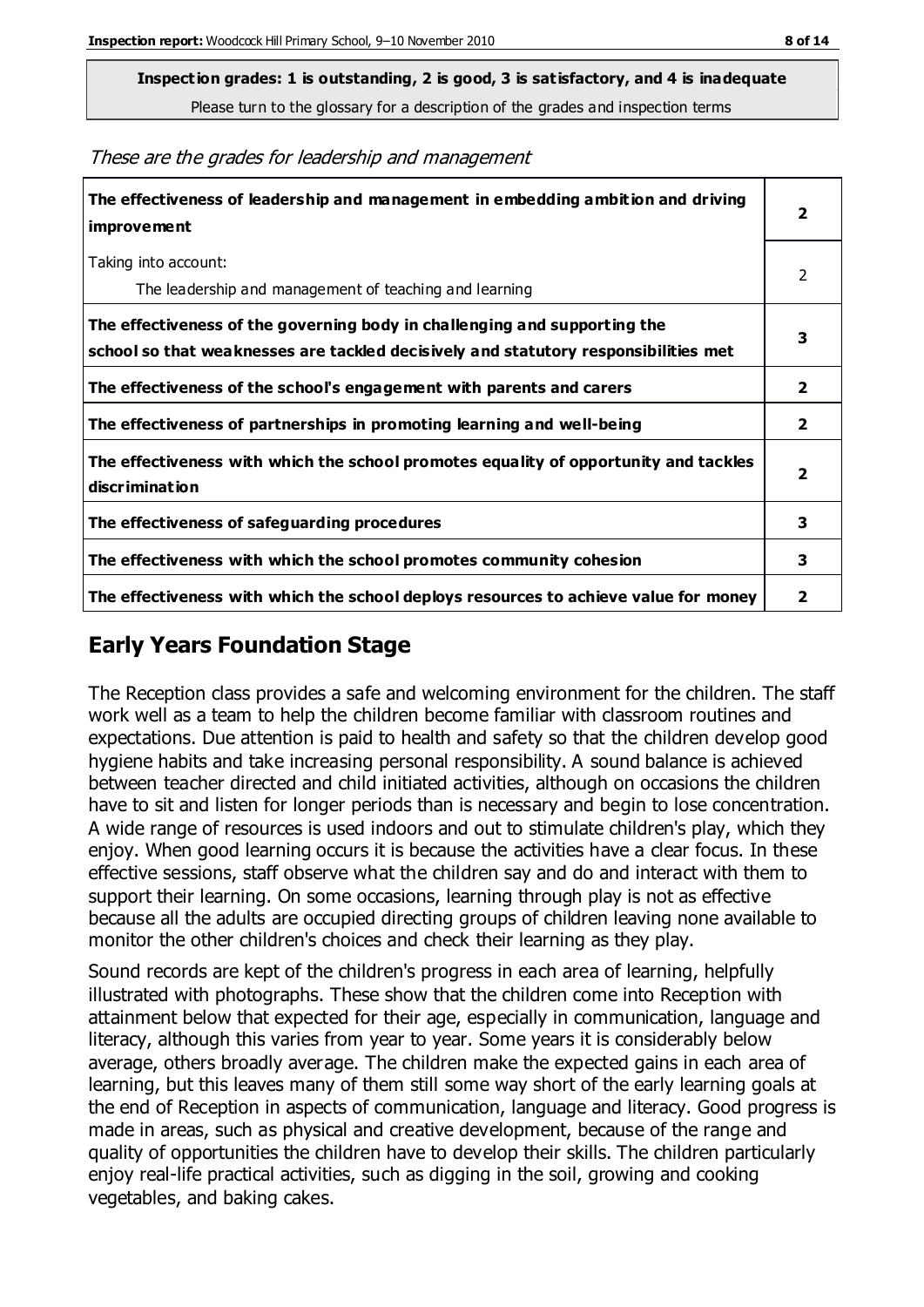**Inspection grades: 1 is outstanding, 2 is good, 3 is satisfactory, and 4 is inadequate**

Please turn to the glossary for a description of the grades and inspection terms

These are the grades for leadership and management

| The effectiveness of leadership and management in embedding ambition and driving<br>improvement                                                                  | $\overline{\mathbf{2}}$ |
|------------------------------------------------------------------------------------------------------------------------------------------------------------------|-------------------------|
| Taking into account:<br>The leadership and management of teaching and learning                                                                                   | 2                       |
| The effectiveness of the governing body in challenging and supporting the<br>school so that weaknesses are tackled decisively and statutory responsibilities met | 3                       |
| The effectiveness of the school's engagement with parents and carers                                                                                             | $\mathbf{2}$            |
| The effectiveness of partnerships in promoting learning and well-being                                                                                           | $\mathbf{2}$            |
| The effectiveness with which the school promotes equality of opportunity and tackles<br>discrimination                                                           | $\overline{\mathbf{2}}$ |
| The effectiveness of safeguarding procedures                                                                                                                     | 3                       |
| The effectiveness with which the school promotes community cohesion                                                                                              | 3                       |
| The effectiveness with which the school deploys resources to achieve value for money                                                                             | 2                       |

#### **Early Years Foundation Stage**

The Reception class provides a safe and welcoming environment for the children. The staff work well as a team to help the children become familiar with classroom routines and expectations. Due attention is paid to health and safety so that the children develop good hygiene habits and take increasing personal responsibility. A sound balance is achieved between teacher directed and child initiated activities, although on occasions the children have to sit and listen for longer periods than is necessary and begin to lose concentration. A wide range of resources is used indoors and out to stimulate children's play, which they enjoy. When good learning occurs it is because the activities have a clear focus. In these effective sessions, staff observe what the children say and do and interact with them to support their learning. On some occasions, learning through play is not as effective because all the adults are occupied directing groups of children leaving none available to monitor the other children's choices and check their learning as they play.

Sound records are kept of the children's progress in each area of learning, helpfully illustrated with photographs. These show that the children come into Reception with attainment below that expected for their age, especially in communication, language and literacy, although this varies from year to year. Some years it is considerably below average, others broadly average. The children make the expected gains in each area of learning, but this leaves many of them still some way short of the early learning goals at the end of Reception in aspects of communication, language and literacy. Good progress is made in areas, such as physical and creative development, because of the range and quality of opportunities the children have to develop their skills. The children particularly enjoy real-life practical activities, such as digging in the soil, growing and cooking vegetables, and baking cakes.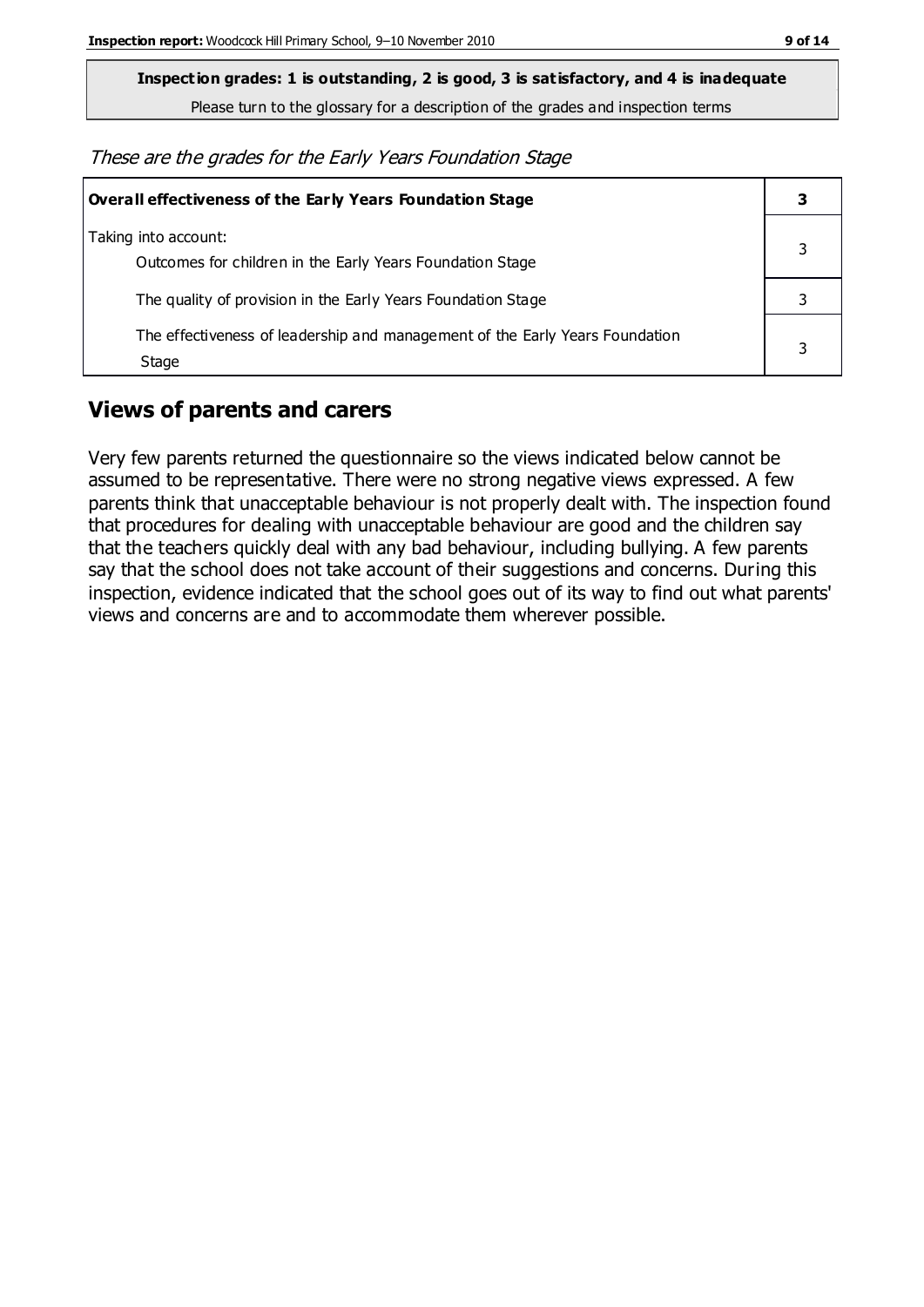**Inspection grades: 1 is outstanding, 2 is good, 3 is satisfactory, and 4 is inadequate**

Please turn to the glossary for a description of the grades and inspection terms

These are the grades for the Early Years Foundation Stage

| <b>Overall effectiveness of the Early Years Foundation Stage</b>                      |   |
|---------------------------------------------------------------------------------------|---|
| Taking into account:<br>Outcomes for children in the Early Years Foundation Stage     |   |
| The quality of provision in the Early Years Foundation Stage                          |   |
| The effectiveness of leadership and management of the Early Years Foundation<br>Stage | 3 |

#### **Views of parents and carers**

Very few parents returned the questionnaire so the views indicated below cannot be assumed to be representative. There were no strong negative views expressed. A few parents think that unacceptable behaviour is not properly dealt with. The inspection found that procedures for dealing with unacceptable behaviour are good and the children say that the teachers quickly deal with any bad behaviour, including bullying. A few parents say that the school does not take account of their suggestions and concerns. During this inspection, evidence indicated that the school goes out of its way to find out what parents' views and concerns are and to accommodate them wherever possible.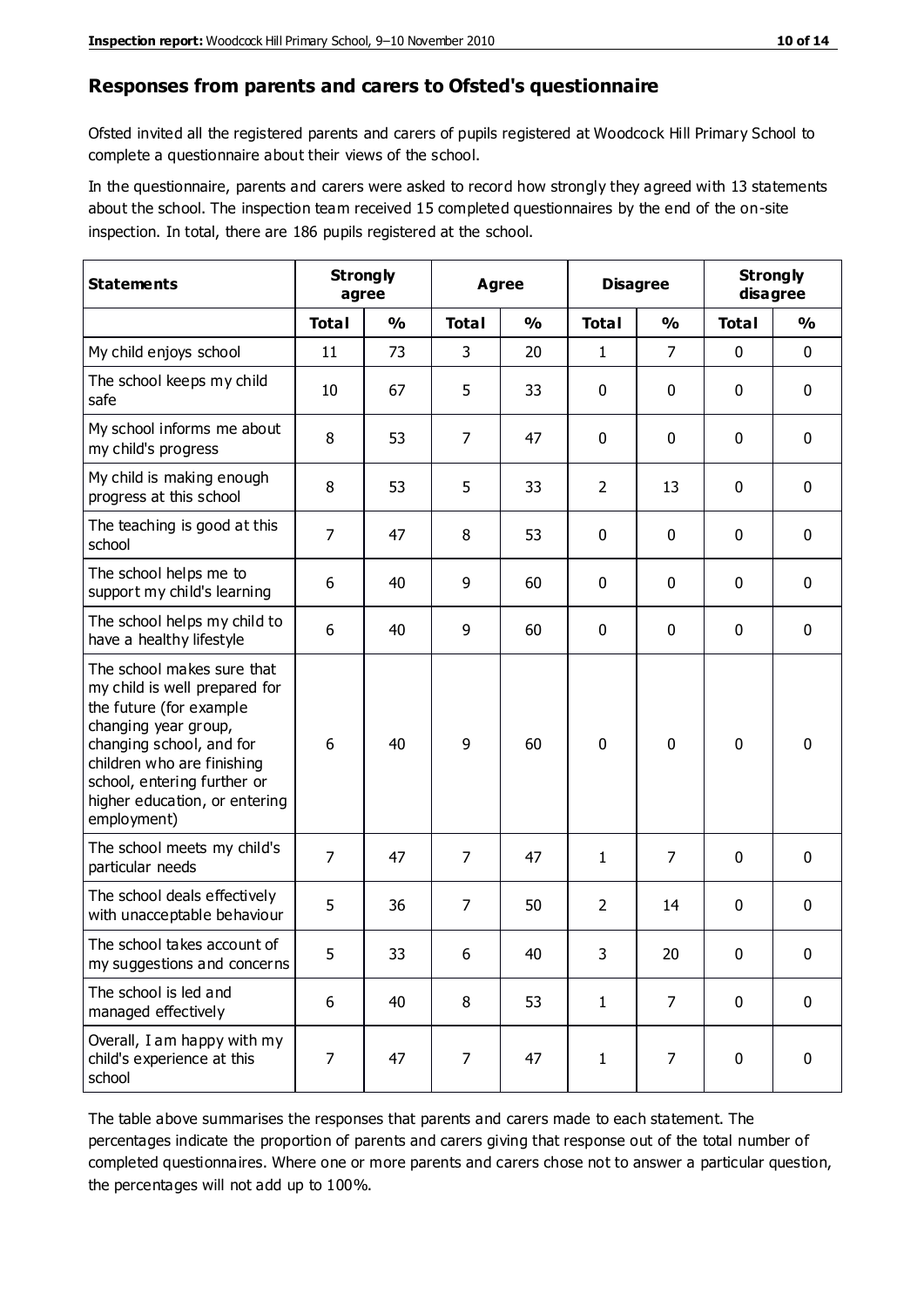#### **Responses from parents and carers to Ofsted's questionnaire**

Ofsted invited all the registered parents and carers of pupils registered at Woodcock Hill Primary School to complete a questionnaire about their views of the school.

In the questionnaire, parents and carers were asked to record how strongly they agreed with 13 statements about the school. The inspection team received 15 completed questionnaires by the end of the on-site inspection. In total, there are 186 pupils registered at the school.

| <b>Statements</b>                                                                                                                                                                                                                                       | <b>Strongly</b><br>agree |               | <b>Agree</b>   |               | <b>Disagree</b> |                | <b>Strongly</b><br>disagree |               |
|---------------------------------------------------------------------------------------------------------------------------------------------------------------------------------------------------------------------------------------------------------|--------------------------|---------------|----------------|---------------|-----------------|----------------|-----------------------------|---------------|
|                                                                                                                                                                                                                                                         | <b>Total</b>             | $\frac{0}{0}$ | <b>Total</b>   | $\frac{0}{0}$ | <b>Total</b>    | $\frac{0}{0}$  | <b>Total</b>                | $\frac{0}{0}$ |
| My child enjoys school                                                                                                                                                                                                                                  | 11                       | 73            | 3              | 20            | 1               | $\overline{7}$ | $\mathbf 0$                 | $\mathbf 0$   |
| The school keeps my child<br>safe                                                                                                                                                                                                                       | 10                       | 67            | 5              | 33            | 0               | 0              | $\mathbf 0$                 | $\mathbf 0$   |
| My school informs me about<br>my child's progress                                                                                                                                                                                                       | 8                        | 53            | 7              | 47            | 0               | $\mathbf 0$    | $\mathbf 0$                 | $\mathbf 0$   |
| My child is making enough<br>progress at this school                                                                                                                                                                                                    | 8                        | 53            | 5              | 33            | 2               | 13             | 0                           | $\mathbf 0$   |
| The teaching is good at this<br>school                                                                                                                                                                                                                  | $\overline{7}$           | 47            | 8              | 53            | 0               | 0              | $\mathbf 0$                 | $\mathbf 0$   |
| The school helps me to<br>support my child's learning                                                                                                                                                                                                   | 6                        | 40            | 9              | 60            | 0               | 0              | $\mathbf 0$                 | $\mathbf 0$   |
| The school helps my child to<br>have a healthy lifestyle                                                                                                                                                                                                | 6                        | 40            | 9              | 60            | 0               | $\mathbf 0$    | $\mathbf 0$                 | $\mathbf 0$   |
| The school makes sure that<br>my child is well prepared for<br>the future (for example<br>changing year group,<br>changing school, and for<br>children who are finishing<br>school, entering further or<br>higher education, or entering<br>employment) | 6                        | 40            | 9              | 60            | $\mathbf 0$     | $\mathbf{0}$   | $\mathbf 0$                 | $\mathbf 0$   |
| The school meets my child's<br>particular needs                                                                                                                                                                                                         | $\overline{7}$           | 47            | $\overline{7}$ | 47            | 1               | 7              | $\mathbf 0$                 | $\mathbf 0$   |
| The school deals effectively<br>with unacceptable behaviour                                                                                                                                                                                             | 5                        | 36            | 7              | 50            | $\overline{2}$  | 14             | $\mathbf 0$                 | 0             |
| The school takes account of<br>my suggestions and concerns                                                                                                                                                                                              | 5                        | 33            | 6              | 40            | 3               | 20             | 0                           | 0             |
| The school is led and<br>managed effectively                                                                                                                                                                                                            | 6                        | 40            | 8              | 53            | $\mathbf{1}$    | $\overline{7}$ | $\mathbf 0$                 | $\mathbf 0$   |
| Overall, I am happy with my<br>child's experience at this<br>school                                                                                                                                                                                     | 7                        | 47            | $\overline{7}$ | 47            | $\mathbf 1$     | $\overline{7}$ | $\mathbf 0$                 | $\mathbf 0$   |

The table above summarises the responses that parents and carers made to each statement. The percentages indicate the proportion of parents and carers giving that response out of the total number of completed questionnaires. Where one or more parents and carers chose not to answer a particular question, the percentages will not add up to 100%.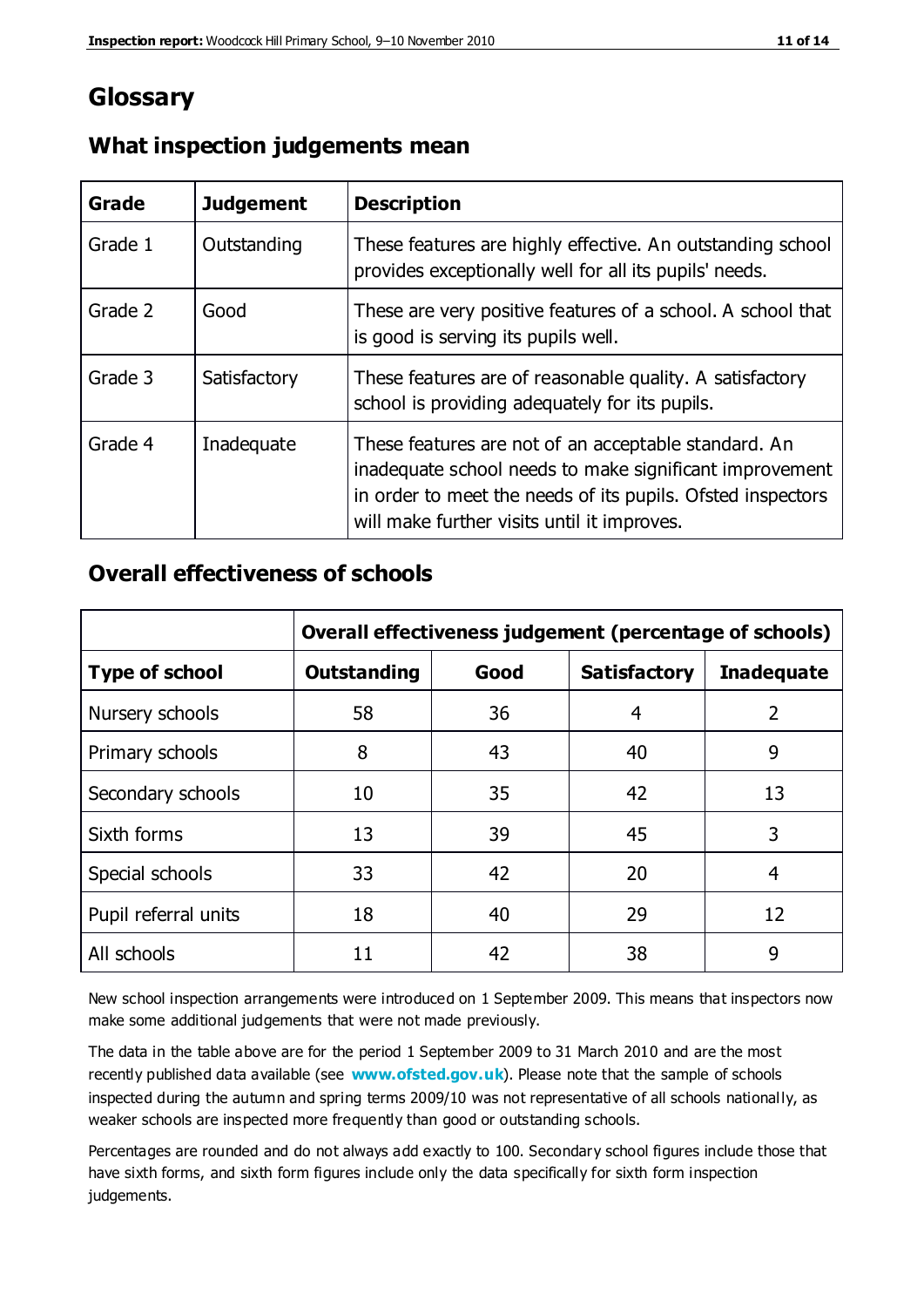## **Glossary**

| Grade   | <b>Judgement</b> | <b>Description</b>                                                                                                                                                                                                            |
|---------|------------------|-------------------------------------------------------------------------------------------------------------------------------------------------------------------------------------------------------------------------------|
| Grade 1 | Outstanding      | These features are highly effective. An outstanding school<br>provides exceptionally well for all its pupils' needs.                                                                                                          |
| Grade 2 | Good             | These are very positive features of a school. A school that<br>is good is serving its pupils well.                                                                                                                            |
| Grade 3 | Satisfactory     | These features are of reasonable quality. A satisfactory<br>school is providing adequately for its pupils.                                                                                                                    |
| Grade 4 | Inadequate       | These features are not of an acceptable standard. An<br>inadequate school needs to make significant improvement<br>in order to meet the needs of its pupils. Ofsted inspectors<br>will make further visits until it improves. |

#### **What inspection judgements mean**

#### **Overall effectiveness of schools**

|                       | Overall effectiveness judgement (percentage of schools) |      |                     |                   |
|-----------------------|---------------------------------------------------------|------|---------------------|-------------------|
| <b>Type of school</b> | <b>Outstanding</b>                                      | Good | <b>Satisfactory</b> | <b>Inadequate</b> |
| Nursery schools       | 58                                                      | 36   | 4                   | 2                 |
| Primary schools       | 8                                                       | 43   | 40                  | 9                 |
| Secondary schools     | 10                                                      | 35   | 42                  | 13                |
| Sixth forms           | 13                                                      | 39   | 45                  | 3                 |
| Special schools       | 33                                                      | 42   | 20                  | 4                 |
| Pupil referral units  | 18                                                      | 40   | 29                  | 12                |
| All schools           | 11                                                      | 42   | 38                  | 9                 |

New school inspection arrangements were introduced on 1 September 2009. This means that inspectors now make some additional judgements that were not made previously.

The data in the table above are for the period 1 September 2009 to 31 March 2010 and are the most recently published data available (see **[www.ofsted.gov.uk](http://www.ofsted.gov.uk/)**). Please note that the sample of schools inspected during the autumn and spring terms 2009/10 was not representative of all schools nationally, as weaker schools are inspected more frequently than good or outstanding schools.

Percentages are rounded and do not always add exactly to 100. Secondary school figures include those that have sixth forms, and sixth form figures include only the data specifically for sixth form inspection judgements.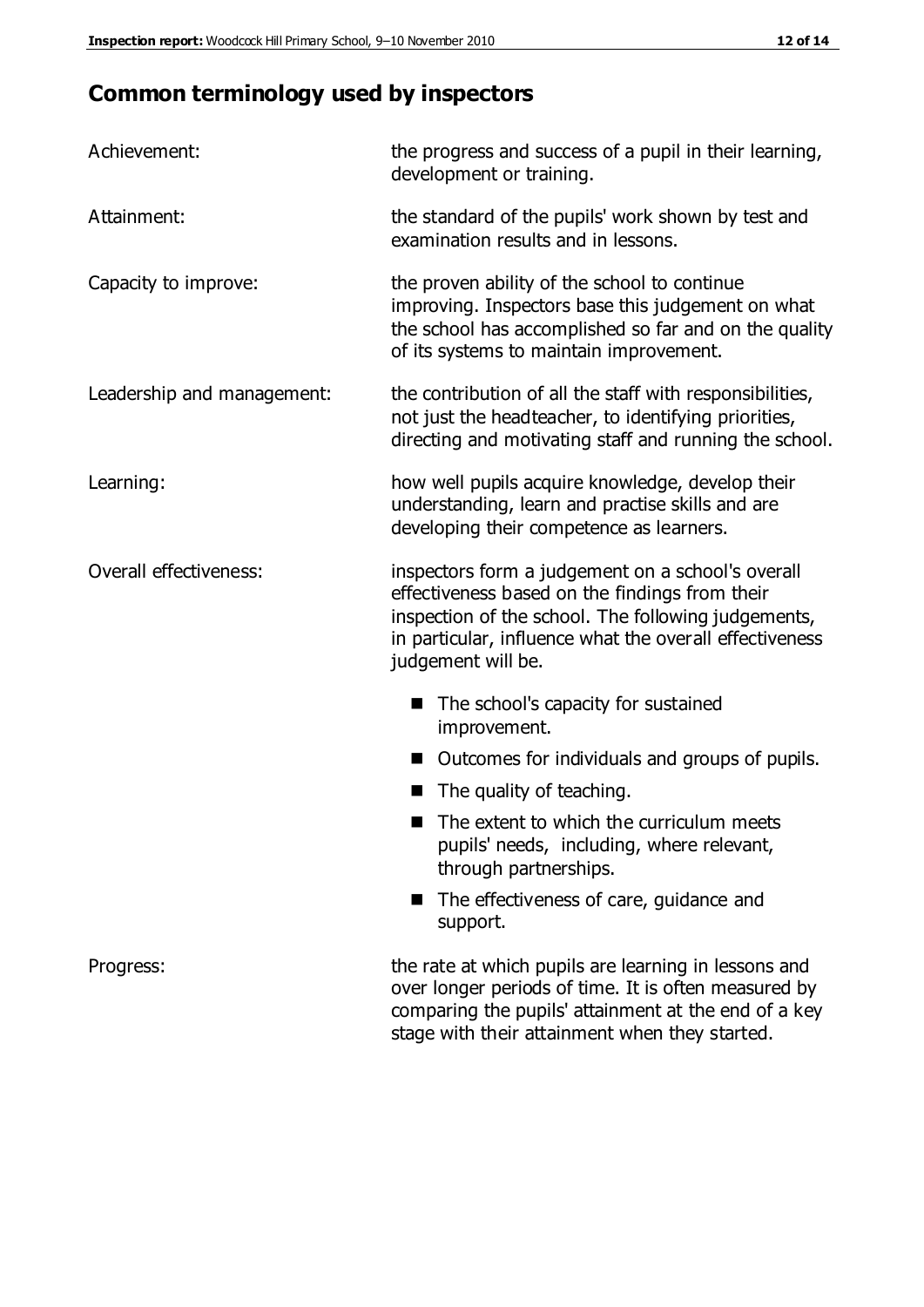# **Common terminology used by inspectors**

| Achievement:               | the progress and success of a pupil in their learning,<br>development or training.                                                                                                                                                          |  |
|----------------------------|---------------------------------------------------------------------------------------------------------------------------------------------------------------------------------------------------------------------------------------------|--|
| Attainment:                | the standard of the pupils' work shown by test and<br>examination results and in lessons.                                                                                                                                                   |  |
| Capacity to improve:       | the proven ability of the school to continue<br>improving. Inspectors base this judgement on what<br>the school has accomplished so far and on the quality<br>of its systems to maintain improvement.                                       |  |
| Leadership and management: | the contribution of all the staff with responsibilities,<br>not just the headteacher, to identifying priorities,<br>directing and motivating staff and running the school.                                                                  |  |
| Learning:                  | how well pupils acquire knowledge, develop their<br>understanding, learn and practise skills and are<br>developing their competence as learners.                                                                                            |  |
| Overall effectiveness:     | inspectors form a judgement on a school's overall<br>effectiveness based on the findings from their<br>inspection of the school. The following judgements,<br>in particular, influence what the overall effectiveness<br>judgement will be. |  |
|                            | The school's capacity for sustained<br>improvement.                                                                                                                                                                                         |  |
|                            | Outcomes for individuals and groups of pupils.                                                                                                                                                                                              |  |
|                            | The quality of teaching.                                                                                                                                                                                                                    |  |
|                            | The extent to which the curriculum meets<br>pupils' needs, including, where relevant,<br>through partnerships.                                                                                                                              |  |
|                            | The effectiveness of care, guidance and<br>support.                                                                                                                                                                                         |  |
| Progress:                  | the rate at which pupils are learning in lessons and<br>over longer periods of time. It is often measured by<br>comparing the pupils' attainment at the end of a key                                                                        |  |

stage with their attainment when they started.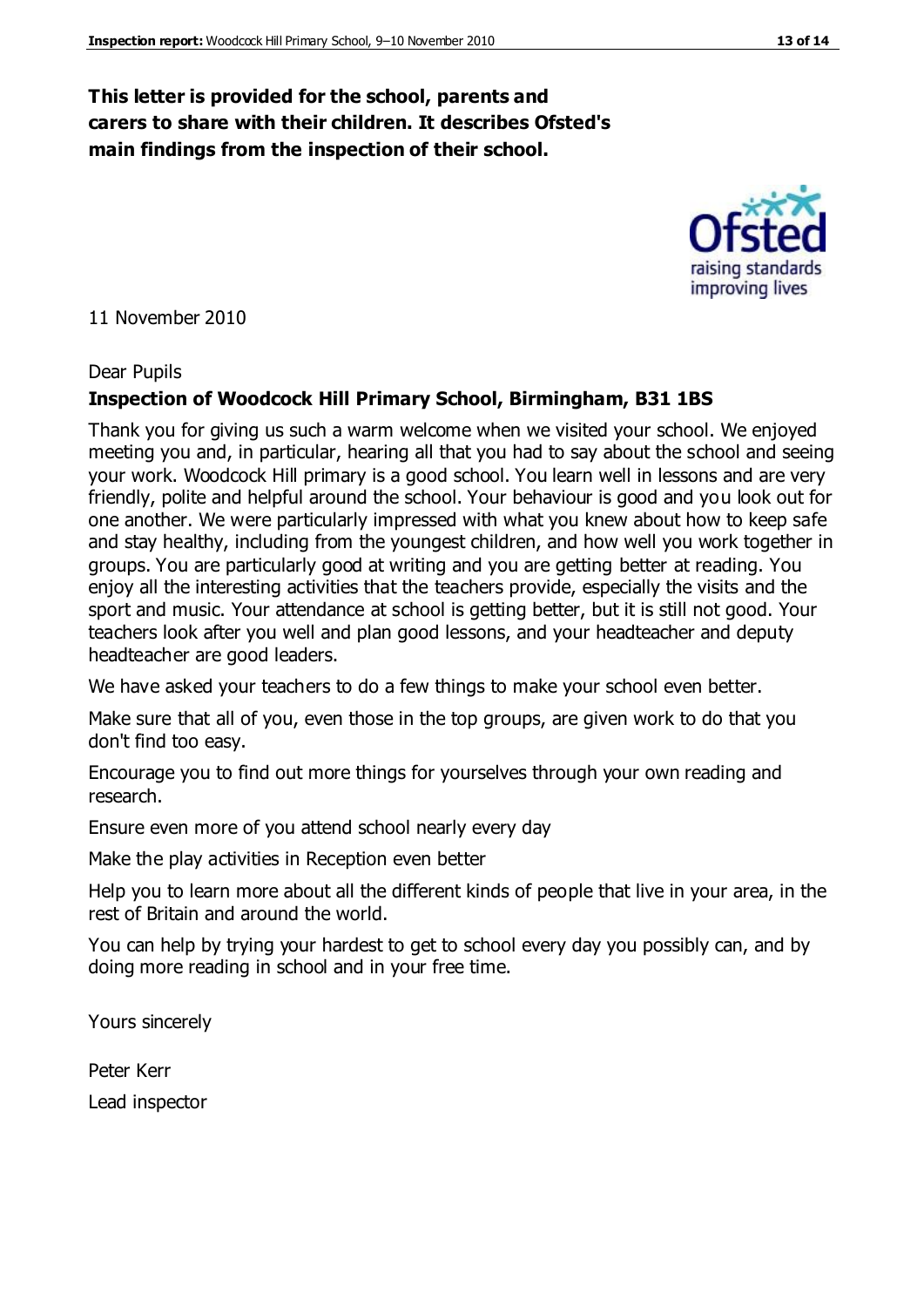#### **This letter is provided for the school, parents and carers to share with their children. It describes Ofsted's main findings from the inspection of their school.**

11 November 2010

#### Dear Pupils

#### **Inspection of Woodcock Hill Primary School, Birmingham, B31 1BS**

Thank you for giving us such a warm welcome when we visited your school. We enjoyed meeting you and, in particular, hearing all that you had to say about the school and seeing your work. Woodcock Hill primary is a good school. You learn well in lessons and are very friendly, polite and helpful around the school. Your behaviour is good and you look out for one another. We were particularly impressed with what you knew about how to keep safe and stay healthy, including from the youngest children, and how well you work together in groups. You are particularly good at writing and you are getting better at reading. You enjoy all the interesting activities that the teachers provide, especially the visits and the sport and music. Your attendance at school is getting better, but it is still not good. Your teachers look after you well and plan good lessons, and your headteacher and deputy headteacher are good leaders.

We have asked your teachers to do a few things to make your school even better.

Make sure that all of you, even those in the top groups, are given work to do that you don't find too easy.

Encourage you to find out more things for yourselves through your own reading and research.

Ensure even more of you attend school nearly every day

Make the play activities in Reception even better

Help you to learn more about all the different kinds of people that live in your area, in the rest of Britain and around the world.

You can help by trying your hardest to get to school every day you possibly can, and by doing more reading in school and in your free time.

Yours sincerely

Peter Kerr Lead inspector